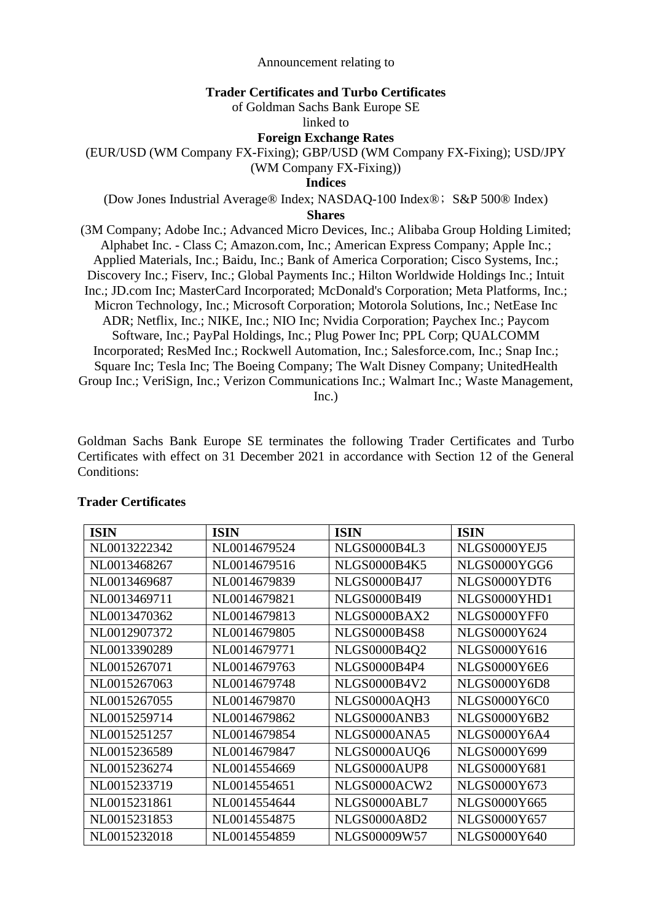## Announcement relating to

## **Trader Certificates and Turbo Certificates**

of Goldman Sachs Bank Europe SE

linked to

**Foreign Exchange Rates** 

(EUR/USD (WM Company FX-Fixing); GBP/USD (WM Company FX-Fixing); USD/JPY

(WM Company FX-Fixing))

**Indices** 

(Dow Jones Industrial Average® Index; NASDAQ-100 Index®; S&P 500® Index) **Shares** 

(3M Company; Adobe Inc.; Advanced Micro Devices, Inc.; Alibaba Group Holding Limited; Alphabet Inc. - Class C; Amazon.com, Inc.; American Express Company; Apple Inc.; Applied Materials, Inc.; Baidu, Inc.; Bank of America Corporation; Cisco Systems, Inc.; Discovery Inc.; Fiserv, Inc.; Global Payments Inc.; Hilton Worldwide Holdings Inc.; Intuit Inc.; JD.com Inc; MasterCard Incorporated; McDonald's Corporation; Meta Platforms, Inc.; Micron Technology, Inc.; Microsoft Corporation; Motorola Solutions, Inc.; NetEase Inc ADR; Netflix, Inc.; NIKE, Inc.; NIO Inc; Nvidia Corporation; Paychex Inc.; Paycom Software, Inc.; PayPal Holdings, Inc.; Plug Power Inc; PPL Corp; QUALCOMM Incorporated; ResMed Inc.; Rockwell Automation, Inc.; Salesforce.com, Inc.; Snap Inc.; Square Inc; Tesla Inc; The Boeing Company; The Walt Disney Company; UnitedHealth Group Inc.; VeriSign, Inc.; Verizon Communications Inc.; Walmart Inc.; Waste Management, Inc.)

Goldman Sachs Bank Europe SE terminates the following Trader Certificates and Turbo Certificates with effect on 31 December 2021 in accordance with Section 12 of the General Conditions:

| <b>ISIN</b>  | <b>ISIN</b>  | <b>ISIN</b>         | <b>ISIN</b>         |
|--------------|--------------|---------------------|---------------------|
| NL0013222342 | NL0014679524 | <b>NLGS0000B4L3</b> | NLGS0000YEJ5        |
| NL0013468267 | NL0014679516 | <b>NLGS0000B4K5</b> | NLGS0000YGG6        |
| NL0013469687 | NL0014679839 | <b>NLGS0000B4J7</b> | NLGS0000YDT6        |
| NL0013469711 | NL0014679821 | <b>NLGS0000B4I9</b> | NLGS0000YHD1        |
| NL0013470362 | NL0014679813 | NLGS0000BAX2        | NLGS0000YFF0        |
| NL0012907372 | NL0014679805 | <b>NLGS0000B4S8</b> | <b>NLGS0000Y624</b> |
| NL0013390289 | NL0014679771 | <b>NLGS0000B4Q2</b> | <b>NLGS0000Y616</b> |
| NL0015267071 | NL0014679763 | <b>NLGS0000B4P4</b> | NLGS0000Y6E6        |
| NL0015267063 | NL0014679748 | <b>NLGS0000B4V2</b> | NLGS0000Y6D8        |
| NL0015267055 | NL0014679870 | NLGS0000AQH3        | NLGS0000Y6C0        |
| NL0015259714 | NL0014679862 | NLGS0000ANB3        | <b>NLGS0000Y6B2</b> |
| NL0015251257 | NL0014679854 | NLGS0000ANA5        | NLGS0000Y6A4        |
| NL0015236589 | NL0014679847 | NLGS0000AUQ6        | NLGS0000Y699        |
| NL0015236274 | NL0014554669 | NLGS0000AUP8        | NLGS0000Y681        |
| NL0015233719 | NL0014554651 | NLGS0000ACW2        | <b>NLGS0000Y673</b> |
| NL0015231861 | NL0014554644 | NLGS0000ABL7        | <b>NLGS0000Y665</b> |
| NL0015231853 | NL0014554875 | <b>NLGS0000A8D2</b> | <b>NLGS0000Y657</b> |
| NL0015232018 | NL0014554859 | NLGS00009W57        | NLGS0000Y640        |

## **Trader Certificates**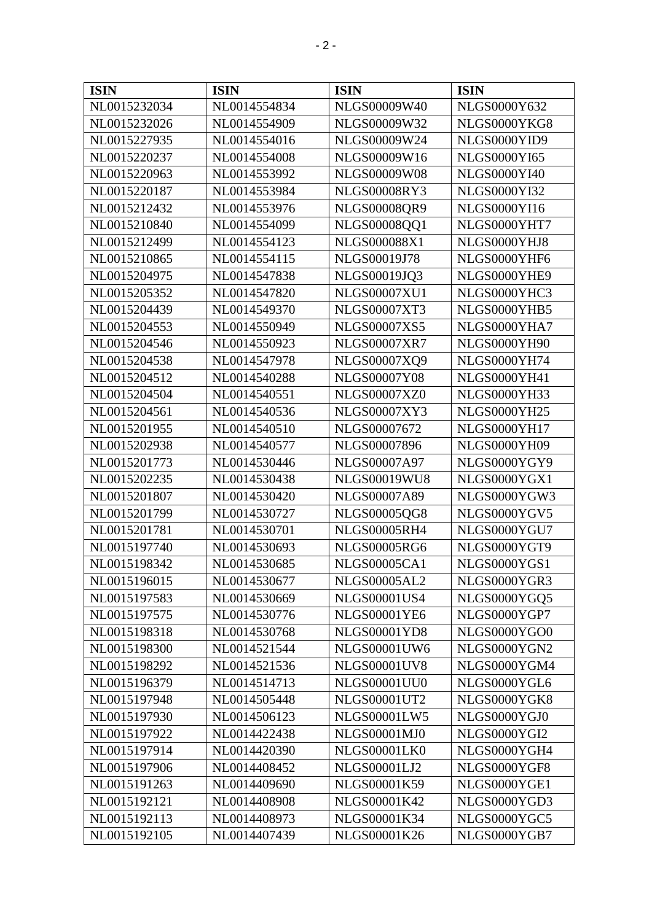| <b>ISIN</b>  | <b>ISIN</b>  | <b>ISIN</b>         | <b>ISIN</b>         |
|--------------|--------------|---------------------|---------------------|
| NL0015232034 | NL0014554834 | NLGS00009W40        | NLGS0000Y632        |
| NL0015232026 | NL0014554909 | NLGS00009W32        | NLGS0000YKG8        |
| NL0015227935 | NL0014554016 | NLGS00009W24        | NLGS0000YID9        |
| NL0015220237 | NL0014554008 | NLGS00009W16        | <b>NLGS0000YI65</b> |
| NL0015220963 | NL0014553992 | NLGS00009W08        | NLGS0000YI40        |
| NL0015220187 | NL0014553984 | <b>NLGS00008RY3</b> | <b>NLGS0000YI32</b> |
| NL0015212432 | NL0014553976 | <b>NLGS00008QR9</b> | <b>NLGS0000YI16</b> |
| NL0015210840 | NL0014554099 | NLGS00008QQ1        | NLGS0000YHT7        |
| NL0015212499 | NL0014554123 | NLGS000088X1        | NLGS0000YHJ8        |
| NL0015210865 | NL0014554115 | <b>NLGS00019J78</b> | NLGS0000YHF6        |
| NL0015204975 | NL0014547838 | NLGS00019JQ3        | NLGS0000YHE9        |
| NL0015205352 | NL0014547820 | <b>NLGS00007XU1</b> | NLGS0000YHC3        |
| NL0015204439 | NL0014549370 | <b>NLGS00007XT3</b> | NLGS0000YHB5        |
| NL0015204553 | NL0014550949 | <b>NLGS00007XS5</b> | NLGS0000YHA7        |
| NL0015204546 | NL0014550923 | <b>NLGS00007XR7</b> | NLGS0000YH90        |
| NL0015204538 | NL0014547978 | NLGS00007XQ9        | NLGS0000YH74        |
| NL0015204512 | NL0014540288 | <b>NLGS00007Y08</b> | NLGS0000YH41        |
| NL0015204504 | NL0014540551 | NLGS00007XZ0        | NLGS0000YH33        |
| NL0015204561 | NL0014540536 | <b>NLGS00007XY3</b> | NLGS0000YH25        |
| NL0015201955 | NL0014540510 | NLGS00007672        | NLGS0000YH17        |
| NL0015202938 | NL0014540577 | NLGS00007896        | NLGS0000YH09        |
| NL0015201773 | NL0014530446 | <b>NLGS00007A97</b> | NLGS0000YGY9        |
| NL0015202235 | NL0014530438 | <b>NLGS00019WU8</b> | NLGS0000YGX1        |
| NL0015201807 | NL0014530420 | NLGS00007A89        | NLGS0000YGW3        |
| NL0015201799 | NL0014530727 | NLGS00005QG8        | NLGS0000YGV5        |
| NL0015201781 | NL0014530701 | <b>NLGS00005RH4</b> | NLGS0000YGU7        |
| NL0015197740 | NL0014530693 | <b>NLGS00005RG6</b> | NLGS0000YGT9        |
| NL0015198342 | NL0014530685 | <b>NLGS00005CA1</b> | NLGS0000YGS1        |
| NL0015196015 | NL0014530677 | <b>NLGS00005AL2</b> | NLGS0000YGR3        |
| NL0015197583 | NL0014530669 | <b>NLGS00001US4</b> | NLGS0000YGQ5        |
| NL0015197575 | NL0014530776 | <b>NLGS00001YE6</b> | NLGS0000YGP7        |
| NL0015198318 | NL0014530768 | <b>NLGS00001YD8</b> | NLGS0000YGO0        |
| NL0015198300 | NL0014521544 | NLGS00001UW6        | NLGS0000YGN2        |
| NL0015198292 | NL0014521536 | <b>NLGS00001UV8</b> | NLGS0000YGM4        |
| NL0015196379 | NL0014514713 | <b>NLGS00001UU0</b> | NLGS0000YGL6        |
| NL0015197948 | NL0014505448 | <b>NLGS00001UT2</b> | NLGS0000YGK8        |
| NL0015197930 | NL0014506123 | <b>NLGS00001LW5</b> | NLGS0000YGJ0        |
| NL0015197922 | NL0014422438 | <b>NLGS00001MJ0</b> | NLGS0000YGI2        |
| NL0015197914 | NL0014420390 | <b>NLGS00001LK0</b> | NLGS0000YGH4        |
| NL0015197906 | NL0014408452 | <b>NLGS00001LJ2</b> | NLGS0000YGF8        |
| NL0015191263 | NL0014409690 | NLGS00001K59        | NLGS0000YGE1        |
| NL0015192121 | NL0014408908 | NLGS00001K42        | NLGS0000YGD3        |
| NL0015192113 | NL0014408973 | NLGS00001K34        | NLGS0000YGC5        |
| NL0015192105 | NL0014407439 | NLGS00001K26        | NLGS0000YGB7        |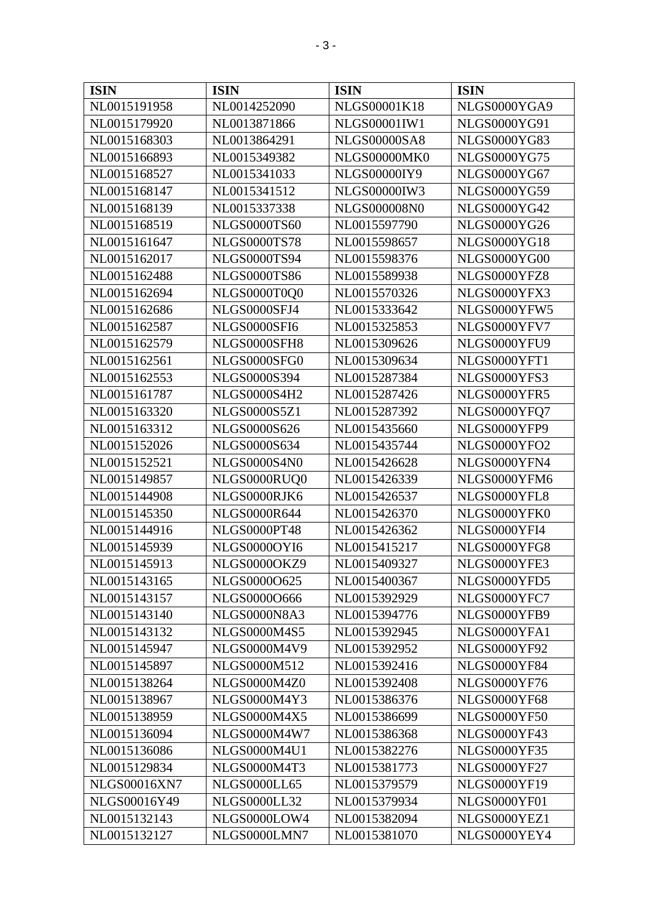| <b>ISIN</b>         | <b>ISIN</b>         | <b>ISIN</b>         | <b>ISIN</b>         |
|---------------------|---------------------|---------------------|---------------------|
| NL0015191958        | NL0014252090        | NLGS00001K18        | NLGS0000YGA9        |
| NL0015179920        | NL0013871866        | NLGS00001IW1        | <b>NLGS0000YG91</b> |
| NL0015168303        | NL0013864291        | <b>NLGS00000SA8</b> | NLGS0000YG83        |
| NL0015166893        | NL0015349382        | NLGS00000MK0        | <b>NLGS0000YG75</b> |
| NL0015168527        | NL0015341033        | <b>NLGS00000IY9</b> | NLGS0000YG67        |
| NL0015168147        | NL0015341512        | <b>NLGS00000IW3</b> | NLGS0000YG59        |
| NL0015168139        | NL0015337338        | <b>NLGS000008N0</b> | <b>NLGS0000YG42</b> |
| NL0015168519        | <b>NLGS0000TS60</b> | NL0015597790        | NLGS0000YG26        |
| NL0015161647        | <b>NLGS0000TS78</b> | NL0015598657        | NLGS0000YG18        |
| NL0015162017        | <b>NLGS0000TS94</b> | NL0015598376        | NLGS0000YG00        |
| NL0015162488        | <b>NLGS0000TS86</b> | NL0015589938        | NLGS0000YFZ8        |
| NL0015162694        | NLGS0000T0Q0        | NL0015570326        | NLGS0000YFX3        |
| NL0015162686        | NLGS0000SFJ4        | NL0015333642        | NLGS0000YFW5        |
| NL0015162587        | NLGS0000SFI6        | NL0015325853        | NLGS0000YFV7        |
| NL0015162579        | NLGS0000SFH8        | NL0015309626        | NLGS0000YFU9        |
| NL0015162561        | NLGS0000SFG0        | NL0015309634        | NLGS0000YFT1        |
| NL0015162553        | NLGS0000S394        | NL0015287384        | NLGS0000YFS3        |
| NL0015161787        | NLGS0000S4H2        | NL0015287426        | NLGS0000YFR5        |
| NL0015163320        | NLGS0000S5Z1        | NL0015287392        | NLGS0000YFQ7        |
| NL0015163312        | NLGS0000S626        | NL0015435660        | NLGS0000YFP9        |
| NL0015152026        | NLGS0000S634        | NL0015435744        | NLGS0000YFO2        |
| NL0015152521        | NLGS0000S4N0        | NL0015426628        | NLGS0000YFN4        |
| NL0015149857        | NLGS0000RUQ0        | NL0015426339        | NLGS0000YFM6        |
| NL0015144908        | NLGS0000RJK6        | NL0015426537        | NLGS0000YFL8        |
| NL0015145350        | NLGS0000R644        | NL0015426370        | NLGS0000YFK0        |
| NL0015144916        | NLGS0000PT48        | NL0015426362        | NLGS0000YFI4        |
| NL0015145939        | NLGS0000OYI6        | NL0015415217        | NLGS0000YFG8        |
| NL0015145913        | NLGS0000OKZ9        | NL0015409327        | NLGS0000YFE3        |
| NL0015143165        | NLGS0000O625        | NL0015400367        | NLGS0000YFD5        |
| NL0015143157        | NLGS0000O666        | NL0015392929        | NLGS0000YFC7        |
| NL0015143140        | <b>NLGS0000N8A3</b> | NL0015394776        | NLGS0000YFB9        |
| NL0015143132        | <b>NLGS0000M4S5</b> | NL0015392945        | NLGS0000YFA1        |
| NL0015145947        | <b>NLGS0000M4V9</b> | NL0015392952        | <b>NLGS0000YF92</b> |
| NL0015145897        | NLGS0000M512        | NL0015392416        | NLGS0000YF84        |
| NL0015138264        | <b>NLGS0000M4Z0</b> | NL0015392408        | <b>NLGS0000YF76</b> |
| NL0015138967        | <b>NLGS0000M4Y3</b> | NL0015386376        | NLGS0000YF68        |
| NL0015138959        | <b>NLGS0000M4X5</b> | NL0015386699        | <b>NLGS0000YF50</b> |
| NL0015136094        | <b>NLGS0000M4W7</b> | NL0015386368        | <b>NLGS0000YF43</b> |
| NL0015136086        | <b>NLGS0000M4U1</b> | NL0015382276        | <b>NLGS0000YF35</b> |
| NL0015129834        | NLGS0000M4T3        | NL0015381773        | <b>NLGS0000YF27</b> |
| <b>NLGS00016XN7</b> | NLGS0000LL65        | NL0015379579        | <b>NLGS0000YF19</b> |
| NLGS00016Y49        | <b>NLGS0000LL32</b> | NL0015379934        | NLGS0000YF01        |
| NL0015132143        | NLGS0000LOW4        | NL0015382094        | NLGS0000YEZ1        |
| NL0015132127        | NLGS0000LMN7        | NL0015381070        | NLGS0000YEY4        |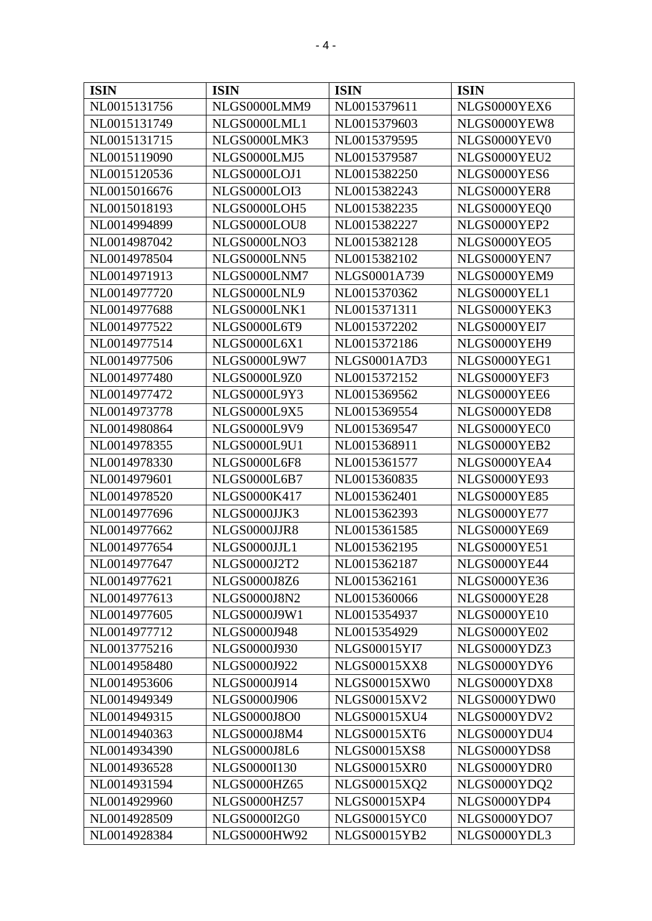| <b>ISIN</b>  | <b>ISIN</b>         | <b>ISIN</b>         | <b>ISIN</b>         |
|--------------|---------------------|---------------------|---------------------|
| NL0015131756 | NLGS0000LMM9        | NL0015379611        | NLGS0000YEX6        |
| NL0015131749 | NLGS0000LML1        | NL0015379603        | NLGS0000YEW8        |
| NL0015131715 | NLGS0000LMK3        | NL0015379595        | NLGS0000YEV0        |
| NL0015119090 | NLGS0000LMJ5        | NL0015379587        | NLGS0000YEU2        |
| NL0015120536 | NLGS0000LOJ1        | NL0015382250        | NLGS0000YES6        |
| NL0015016676 | <b>NLGS0000LOI3</b> | NL0015382243        | NLGS0000YER8        |
| NL0015018193 | NLGS0000LOH5        | NL0015382235        | NLGS0000YEQ0        |
| NL0014994899 | NLGS0000LOU8        | NL0015382227        | NLGS0000YEP2        |
| NL0014987042 | NLGS0000LNO3        | NL0015382128        | NLGS0000YEO5        |
| NL0014978504 | NLGS0000LNN5        | NL0015382102        | NLGS0000YEN7        |
| NL0014971913 | NLGS0000LNM7        | NLGS0001A739        | NLGS0000YEM9        |
| NL0014977720 | NLGS0000LNL9        | NL0015370362        | NLGS0000YEL1        |
| NL0014977688 | NLGS0000LNK1        | NL0015371311        | NLGS0000YEK3        |
| NL0014977522 | NLGS0000L6T9        | NL0015372202        | NLGS0000YEI7        |
| NL0014977514 | NLGS0000L6X1        | NL0015372186        | NLGS0000YEH9        |
| NL0014977506 | NLGS0000L9W7        | <b>NLGS0001A7D3</b> | NLGS0000YEG1        |
| NL0014977480 | NLGS0000L9Z0        | NL0015372152        | NLGS0000YEF3        |
| NL0014977472 | NLGS0000L9Y3        | NL0015369562        | NLGS0000YEE6        |
| NL0014973778 | <b>NLGS0000L9X5</b> | NL0015369554        | NLGS0000YED8        |
| NL0014980864 | NLGS0000L9V9        | NL0015369547        | NLGS0000YEC0        |
| NL0014978355 | NLGS0000L9U1        | NL0015368911        | NLGS0000YEB2        |
| NL0014978330 | NLGS0000L6F8        | NL0015361577        | NLGS0000YEA4        |
| NL0014979601 | <b>NLGS0000L6B7</b> | NL0015360835        | NLGS0000YE93        |
| NL0014978520 | NLGS0000K417        | NL0015362401        | NLGS0000YE85        |
| NL0014977696 | NLGS0000JJK3        | NL0015362393        | <b>NLGS0000YE77</b> |
| NL0014977662 | NLGS0000JJR8        | NL0015361585        | NLGS0000YE69        |
| NL0014977654 | NLGS0000JJL1        | NL0015362195        | NLGS0000YE51        |
| NL0014977647 | <b>NLGS0000J2T2</b> | NL0015362187        | NLGS0000YE44        |
| NL0014977621 | <b>NLGS0000J8Z6</b> | NL0015362161        | NLGS0000YE36        |
| NL0014977613 | <b>NLGS0000J8N2</b> | NL0015360066        | <b>NLGS0000YE28</b> |
| NL0014977605 | NLGS0000J9W1        | NL0015354937        | NLGS0000YE10        |
| NL0014977712 | <b>NLGS0000J948</b> | NL0015354929        | NLGS0000YE02        |
| NL0013775216 | NLGS0000J930        | NLGS00015YI7        | NLGS0000YDZ3        |
| NL0014958480 | NLGS0000J922        | <b>NLGS00015XX8</b> | NLGS0000YDY6        |
| NL0014953606 | NLGS0000J914        | <b>NLGS00015XW0</b> | NLGS0000YDX8        |
| NL0014949349 | <b>NLGS0000J906</b> | <b>NLGS00015XV2</b> | NLGS0000YDW0        |
| NL0014949315 | <b>NLGS0000J8O0</b> | <b>NLGS00015XU4</b> | NLGS0000YDV2        |
| NL0014940363 | <b>NLGS0000J8M4</b> | <b>NLGS00015XT6</b> | NLGS0000YDU4        |
| NL0014934390 | <b>NLGS0000J8L6</b> | <b>NLGS00015XS8</b> | NLGS0000YDS8        |
| NL0014936528 | NLGS0000I130        | <b>NLGS00015XR0</b> | NLGS0000YDR0        |
| NL0014931594 | <b>NLGS0000HZ65</b> | NLGS00015XQ2        | NLGS0000YDQ2        |
| NL0014929960 | <b>NLGS0000HZ57</b> | <b>NLGS00015XP4</b> | NLGS0000YDP4        |
| NL0014928509 | NLGS0000I2G0        | <b>NLGS00015YC0</b> | NLGS0000YDO7        |
| NL0014928384 | <b>NLGS0000HW92</b> | <b>NLGS00015YB2</b> | NLGS0000YDL3        |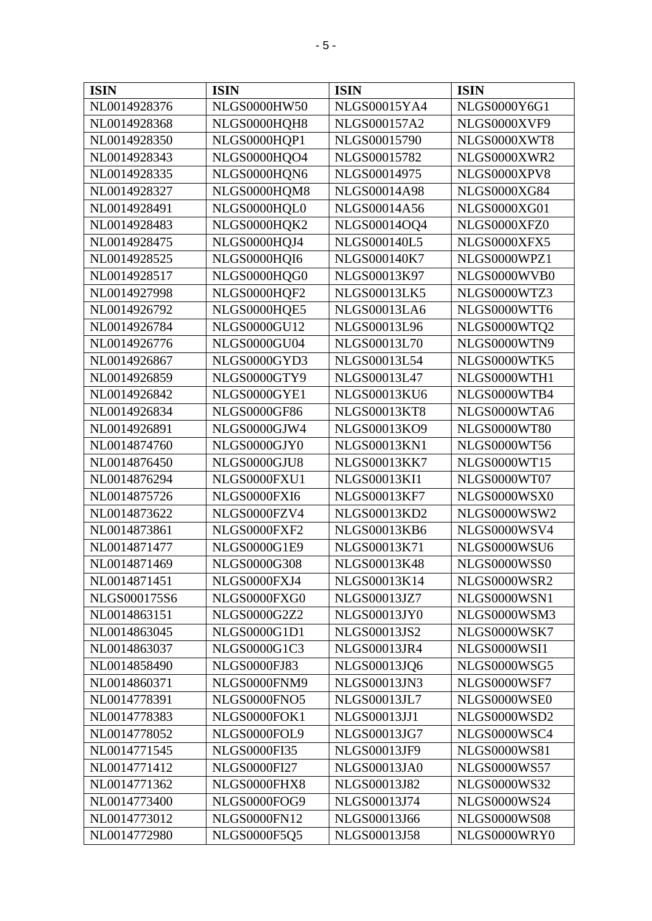| <b>ISIN</b>  | <b>ISIN</b>         | <b>ISIN</b>         | <b>ISIN</b>         |
|--------------|---------------------|---------------------|---------------------|
| NL0014928376 | <b>NLGS0000HW50</b> | <b>NLGS00015YA4</b> | NLGS0000Y6G1        |
| NL0014928368 | NLGS0000HQH8        | <b>NLGS000157A2</b> | NLGS0000XVF9        |
| NL0014928350 | NLGS0000HQP1        | NLGS00015790        | NLGS0000XWT8        |
| NL0014928343 | NLGS0000HQO4        | NLGS00015782        | NLGS0000XWR2        |
| NL0014928335 | NLGS0000HQN6        | NLGS00014975        | NLGS0000XPV8        |
| NL0014928327 | NLGS0000HQM8        | <b>NLGS00014A98</b> | NLGS0000XG84        |
| NL0014928491 | NLGS0000HQL0        | NLGS00014A56        | NLGS0000XG01        |
| NL0014928483 | NLGS0000HQK2        | NLGS00014OQ4        | NLGS0000XFZ0        |
| NL0014928475 | NLGS0000HQJ4        | <b>NLGS000140L5</b> | NLGS0000XFX5        |
| NL0014928525 | NLGS0000HQI6        | <b>NLGS000140K7</b> | NLGS0000WPZ1        |
| NL0014928517 | NLGS0000HQG0        | NLGS00013K97        | NLGS0000WVB0        |
| NL0014927998 | NLGS0000HQF2        | <b>NLGS00013LK5</b> | NLGS0000WTZ3        |
| NL0014926792 | NLGS0000HQE5        | NLGS00013LA6        | NLGS0000WTT6        |
| NL0014926784 | <b>NLGS0000GU12</b> | NLGS00013L96        | NLGS0000WTQ2        |
| NL0014926776 | <b>NLGS0000GU04</b> | NLGS00013L70        | NLGS0000WTN9        |
| NL0014926867 | NLGS0000GYD3        | NLGS00013L54        | NLGS0000WTK5        |
| NL0014926859 | NLGS0000GTY9        | NLGS00013L47        | NLGS0000WTH1        |
| NL0014926842 | NLGS0000GYE1        | <b>NLGS00013KU6</b> | NLGS0000WTB4        |
| NL0014926834 | <b>NLGS0000GF86</b> | <b>NLGS00013KT8</b> | NLGS0000WTA6        |
| NL0014926891 | NLGS0000GJW4        | NLGS00013KO9        | <b>NLGS0000WT80</b> |
| NL0014874760 | NLGS0000GJY0        | <b>NLGS00013KN1</b> | <b>NLGS0000WT56</b> |
| NL0014876450 | NLGS0000GJU8        | <b>NLGS00013KK7</b> | <b>NLGS0000WT15</b> |
| NL0014876294 | NLGS0000FXU1        | NLGS00013KI1        | NLGS0000WT07        |
| NL0014875726 | NLGS0000FXI6        | <b>NLGS00013KF7</b> | NLGS0000WSX0        |
| NL0014873622 | NLGS0000FZV4        | NLGS00013KD2        | NLGS0000WSW2        |
| NL0014873861 | NLGS0000FXF2        | <b>NLGS00013KB6</b> | NLGS0000WSV4        |
| NL0014871477 | <b>NLGS0000G1E9</b> | NLGS00013K71        | NLGS0000WSU6        |
| NL0014871469 | NLGS0000G308        | NLGS00013K48        | NLGS0000WSS0        |
| NL0014871451 | NLGS0000FXJ4        | NLGS00013K14        | NLGS0000WSR2        |
| NLGS000175S6 | NLGS0000FXG0        | <b>NLGS00013JZ7</b> | NLGS0000WSN1        |
| NL0014863151 | NLGS0000G2Z2        | <b>NLGS00013JY0</b> | NLGS0000WSM3        |
| NL0014863045 | <b>NLGS0000G1D1</b> | <b>NLGS00013JS2</b> | NLGS0000WSK7        |
| NL0014863037 | <b>NLGS0000G1C3</b> | <b>NLGS00013JR4</b> | NLGS0000WSI1        |
| NL0014858490 | <b>NLGS0000FJ83</b> | NLGS00013JQ6        | NLGS0000WSG5        |
| NL0014860371 | NLGS0000FNM9        | <b>NLGS00013JN3</b> | NLGS0000WSF7        |
| NL0014778391 | NLGS0000FNO5        | <b>NLGS00013JL7</b> | NLGS0000WSE0        |
| NL0014778383 | NLGS0000FOK1        | <b>NLGS00013JJ1</b> | NLGS0000WSD2        |
| NL0014778052 | NLGS0000FOL9        | NLGS00013JG7        | NLGS0000WSC4        |
| NL0014771545 | <b>NLGS0000FI35</b> | <b>NLGS00013JF9</b> | <b>NLGS0000WS81</b> |
| NL0014771412 | <b>NLGS0000FI27</b> | <b>NLGS00013JA0</b> | <b>NLGS0000WS57</b> |
| NL0014771362 | NLGS0000FHX8        | <b>NLGS00013J82</b> | <b>NLGS0000WS32</b> |
| NL0014773400 | NLGS0000FOG9        | NLGS00013J74        | <b>NLGS0000WS24</b> |
| NL0014773012 | <b>NLGS0000FN12</b> | NLGS00013J66        | <b>NLGS0000WS08</b> |
| NL0014772980 | NLGS0000F5Q5        | NLGS00013J58        | NLGS0000WRY0        |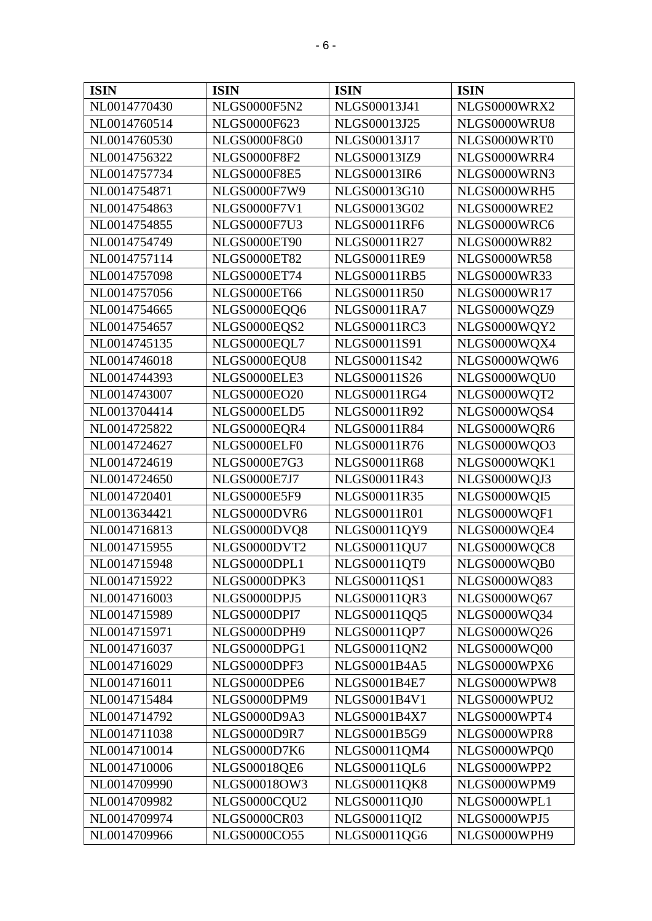| <b>ISIN</b>  | <b>ISIN</b>         | <b>ISIN</b>         | <b>ISIN</b>         |
|--------------|---------------------|---------------------|---------------------|
| NL0014770430 | NLGS0000F5N2        | NLGS00013J41        | NLGS0000WRX2        |
| NL0014760514 | <b>NLGS0000F623</b> | NLGS00013J25        | NLGS0000WRU8        |
| NL0014760530 | NLGS0000F8G0        | NLGS00013J17        | NLGS0000WRT0        |
| NL0014756322 | <b>NLGS0000F8F2</b> | NLGS00013IZ9        | NLGS0000WRR4        |
| NL0014757734 | <b>NLGS0000F8E5</b> | <b>NLGS00013IR6</b> | NLGS0000WRN3        |
| NL0014754871 | <b>NLGS0000F7W9</b> | NLGS00013G10        | NLGS0000WRH5        |
| NL0014754863 | <b>NLGS0000F7V1</b> | NLGS00013G02        | NLGS0000WRE2        |
| NL0014754855 | <b>NLGS0000F7U3</b> | <b>NLGS00011RF6</b> | NLGS0000WRC6        |
| NL0014754749 | NLGS0000ET90        | NLGS00011R27        | <b>NLGS0000WR82</b> |
| NL0014757114 | <b>NLGS0000ET82</b> | <b>NLGS00011RE9</b> | <b>NLGS0000WR58</b> |
| NL0014757098 | <b>NLGS0000ET74</b> | <b>NLGS00011RB5</b> | <b>NLGS0000WR33</b> |
| NL0014757056 | NLGS0000ET66        | NLGS00011R50        | NLGS0000WR17        |
| NL0014754665 | NLGS0000EQQ6        | <b>NLGS00011RA7</b> | NLGS0000WQZ9        |
| NL0014754657 | NLGS0000EQS2        | <b>NLGS00011RC3</b> | NLGS0000WQY2        |
| NL0014745135 | NLGS0000EQL7        | NLGS00011S91        | NLGS0000WQX4        |
| NL0014746018 | NLGS0000EQU8        | NLGS00011S42        | NLGS0000WQW6        |
| NL0014744393 | NLGS0000ELE3        | NLGS00011S26        | NLGS0000WQU0        |
| NL0014743007 | <b>NLGS0000EO20</b> | <b>NLGS00011RG4</b> | NLGS0000WQT2        |
| NL0013704414 | NLGS0000ELD5        | NLGS00011R92        | NLGS0000WQS4        |
| NL0014725822 | NLGS0000EQR4        | <b>NLGS00011R84</b> | NLGS0000WQR6        |
| NL0014724627 | NLGS0000ELF0        | NLGS00011R76        | NLGS0000WQO3        |
| NL0014724619 | <b>NLGS0000E7G3</b> | <b>NLGS00011R68</b> | NLGS0000WQK1        |
| NL0014724650 | <b>NLGS0000E7J7</b> | NLGS00011R43        | NLGS0000WQJ3        |
| NL0014720401 | NLGS0000E5F9        | <b>NLGS00011R35</b> | NLGS0000WQI5        |
| NL0013634421 | NLGS0000DVR6        | NLGS00011R01        | NLGS0000WQF1        |
| NL0014716813 | NLGS0000DVQ8        | NLGS00011QY9        | NLGS0000WQE4        |
| NL0014715955 | NLGS0000DVT2        | NLGS00011QU7        | NLGS0000WQC8        |
| NL0014715948 | NLGS0000DPL1        | NLGS00011OT9        | NLGS0000WQB0        |
| NL0014715922 | NLGS0000DPK3        | NLGS00011QS1        | NLGS0000WQ83        |
| NL0014716003 | NLGS0000DPJ5        | NLGS00011QR3        | NLGS0000WQ67        |
| NL0014715989 | NLGS0000DPI7        | NLGS00011QQ5        | NLGS0000WQ34        |
| NL0014715971 | NLGS0000DPH9        | NLGS00011QP7        | NLGS0000WQ26        |
| NL0014716037 | NLGS0000DPG1        | NLGS00011QN2        | NLGS0000WQ00        |
| NL0014716029 | NLGS0000DPF3        | <b>NLGS0001B4A5</b> | NLGS0000WPX6        |
| NL0014716011 | NLGS0000DPE6        | <b>NLGS0001B4E7</b> | NLGS0000WPW8        |
| NL0014715484 | NLGS0000DPM9        | <b>NLGS0001B4V1</b> | NLGS0000WPU2        |
| NL0014714792 | NLGS0000D9A3        | <b>NLGS0001B4X7</b> | NLGS0000WPT4        |
| NL0014711038 | NLGS0000D9R7        | NLGS0001B5G9        | NLGS0000WPR8        |
| NL0014710014 | NLGS0000D7K6        | NLGS00011QM4        | NLGS0000WPQ0        |
| NL0014710006 | <b>NLGS00018QE6</b> | NLGS00011QL6        | NLGS0000WPP2        |
| NL0014709990 | NLGS00018OW3        | <b>NLGS00011QK8</b> | NLGS0000WPM9        |
| NL0014709982 | NLGS0000CQU2        | NLGS00011QJ0        | NLGS0000WPL1        |
| NL0014709974 | NLGS0000CR03        | NLGS00011QI2        | NLGS0000WPJ5        |
| NL0014709966 | <b>NLGS0000CO55</b> | NLGS00011QG6        | NLGS0000WPH9        |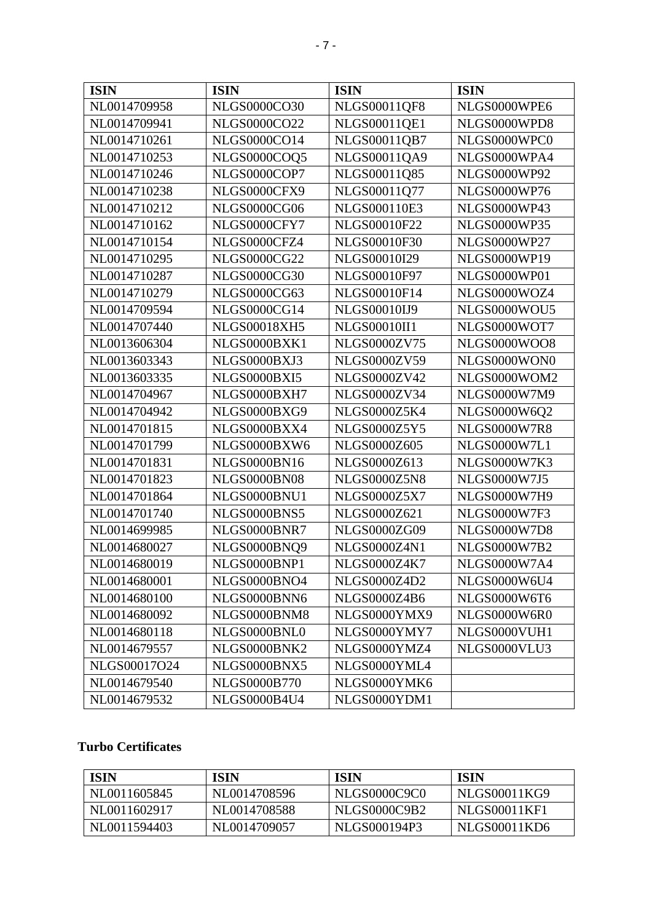| <b>ISIN</b>  | <b>ISIN</b>         | <b>ISIN</b>         | <b>ISIN</b>         |
|--------------|---------------------|---------------------|---------------------|
| NL0014709958 | <b>NLGS0000CO30</b> | <b>NLGS00011QF8</b> | NLGS0000WPE6        |
| NL0014709941 | <b>NLGS0000CO22</b> | <b>NLGS00011QE1</b> | NLGS0000WPD8        |
| NL0014710261 | NLGS0000CO14        | NLGS00011QB7        | NLGS0000WPC0        |
| NL0014710253 | NLGS0000COQ5        | NLGS00011QA9        | NLGS0000WPA4        |
| NL0014710246 | NLGS0000COP7        | NLGS00011Q85        | NLGS0000WP92        |
| NL0014710238 | NLGS0000CFX9        | NLGS00011Q77        | <b>NLGS0000WP76</b> |
| NL0014710212 | NLGS0000CG06        | NLGS000110E3        | NLGS0000WP43        |
| NL0014710162 | NLGS0000CFY7        | NLGS00010F22        | <b>NLGS0000WP35</b> |
| NL0014710154 | NLGS0000CFZ4        | NLGS00010F30        | NLGS0000WP27        |
| NL0014710295 | <b>NLGS0000CG22</b> | NLGS00010I29        | NLGS0000WP19        |
| NL0014710287 | <b>NLGS0000CG30</b> | NLGS00010F97        | NLGS0000WP01        |
| NL0014710279 | <b>NLGS0000CG63</b> | NLGS00010F14        | NLGS0000WOZ4        |
| NL0014709594 | <b>NLGS0000CG14</b> | <b>NLGS00010IJ9</b> | NLGS0000WOU5        |
| NL0014707440 | <b>NLGS00018XH5</b> | <b>NLGS00010II1</b> | NLGS0000WOT7        |
| NL0013606304 | NLGS0000BXK1        | <b>NLGS0000ZV75</b> | NLGS0000WOO8        |
| NL0013603343 | NLGS0000BXJ3        | <b>NLGS0000ZV59</b> | NLGS0000WON0        |
| NL0013603335 | NLGS0000BXI5        | <b>NLGS0000ZV42</b> | NLGS0000WOM2        |
| NL0014704967 | NLGS0000BXH7        | <b>NLGS0000ZV34</b> | NLGS0000W7M9        |
| NL0014704942 | NLGS0000BXG9        | NLGS0000Z5K4        | NLGS0000W6Q2        |
| NL0014701815 | NLGS0000BXX4        | NLGS0000Z5Y5        | <b>NLGS0000W7R8</b> |
| NL0014701799 | NLGS0000BXW6        | <b>NLGS0000Z605</b> | NLGS0000W7L1        |
| NL0014701831 | <b>NLGS0000BN16</b> | NLGS0000Z613        | <b>NLGS0000W7K3</b> |
| NL0014701823 | <b>NLGS0000BN08</b> | <b>NLGS0000Z5N8</b> | NLGS0000W7J5        |
| NL0014701864 | NLGS0000BNU1        | <b>NLGS0000Z5X7</b> | NLGS0000W7H9        |
| NL0014701740 | NLGS0000BNS5        | NLGS0000Z621        | <b>NLGS0000W7F3</b> |
| NL0014699985 | NLGS0000BNR7        | NLGS0000ZG09        | <b>NLGS0000W7D8</b> |
| NL0014680027 | NLGS0000BNQ9        | <b>NLGS0000Z4N1</b> | <b>NLGS0000W7B2</b> |
| NL0014680019 | NLGS0000BNP1        | <b>NLGS0000Z4K7</b> | <b>NLGS0000W7A4</b> |
| NL0014680001 | NLGS0000BNO4        | <b>NLGS0000Z4D2</b> | NLGS0000W6U4        |
| NL0014680100 | NLGS0000BNN6        | <b>NLGS0000Z4B6</b> | NLGS0000W6T6        |
| NL0014680092 | NLGS0000BNM8        | NLGS0000YMX9        | NLGS0000W6R0        |
| NL0014680118 | NLGS0000BNL0        | NLGS0000YMY7        | NLGS0000VUH1        |
| NL0014679557 | NLGS0000BNK2        | NLGS0000YMZ4        | NLGS0000VLU3        |
| NLGS00017O24 | NLGS0000BNX5        | NLGS0000YML4        |                     |
| NL0014679540 | <b>NLGS0000B770</b> | NLGS0000YMK6        |                     |
| NL0014679532 | <b>NLGS0000B4U4</b> | NLGS0000YDM1        |                     |

## **Turbo Certificates**

| <b>ISIN</b>  | <b>ISIN</b>  | <b>ISIN</b>  | <b>ISIN</b>  |
|--------------|--------------|--------------|--------------|
| NL0011605845 | NL0014708596 | NLGS0000C9C0 | NLGS00011KG9 |
| NL0011602917 | NL0014708588 | NLGS0000C9B2 | NLGS00011KF1 |
| NL0011594403 | NL0014709057 | NLGS000194P3 | NLGS00011KD6 |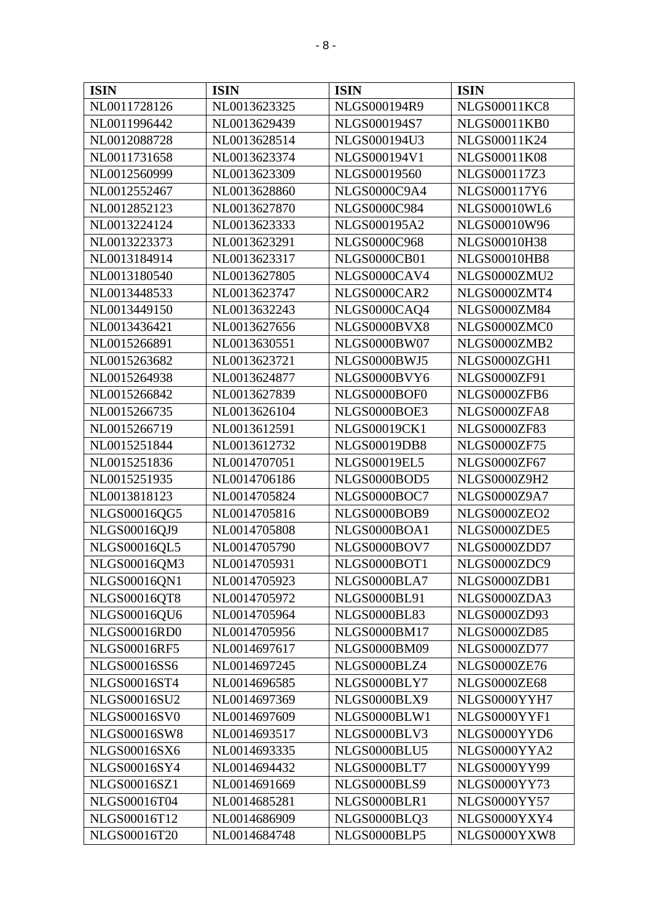| <b>ISIN</b>         | <b>ISIN</b>  | <b>ISIN</b>         | <b>ISIN</b>         |
|---------------------|--------------|---------------------|---------------------|
| NL0011728126        | NL0013623325 | NLGS000194R9        | <b>NLGS00011KC8</b> |
| NL0011996442        | NL0013629439 | NLGS000194S7        | <b>NLGS00011KB0</b> |
| NL0012088728        | NL0013628514 | <b>NLGS000194U3</b> | NLGS00011K24        |
| NL0011731658        | NL0013623374 | NLGS000194V1        | NLGS00011K08        |
| NL0012560999        | NL0013623309 | NLGS00019560        | NLGS000117Z3        |
| NL0012552467        | NL0013628860 | <b>NLGS0000C9A4</b> | NLGS000117Y6        |
| NL0012852123        | NL0013627870 | <b>NLGS0000C984</b> | NLGS00010WL6        |
| NL0013224124        | NL0013623333 | NLGS000195A2        | NLGS00010W96        |
| NL0013223373        | NL0013623291 | NLGS0000C968        | NLGS00010H38        |
| NL0013184914        | NL0013623317 | <b>NLGS0000CB01</b> | <b>NLGS00010HB8</b> |
| NL0013180540        | NL0013627805 | NLGS0000CAV4        | NLGS0000ZMU2        |
| NL0013448533        | NL0013623747 | NLGS0000CAR2        | NLGS0000ZMT4        |
| NL0013449150        | NL0013632243 | NLGS0000CAQ4        | <b>NLGS0000ZM84</b> |
| NL0013436421        | NL0013627656 | NLGS0000BVX8        | NLGS0000ZMC0        |
| NL0015266891        | NL0013630551 | <b>NLGS0000BW07</b> | NLGS0000ZMB2        |
| NL0015263682        | NL0013623721 | NLGS0000BWJ5        | NLGS0000ZGH1        |
| NL0015264938        | NL0013624877 | NLGS0000BVY6        | <b>NLGS0000ZF91</b> |
| NL0015266842        | NL0013627839 | NLGS0000BOF0        | NLGS0000ZFB6        |
| NL0015266735        | NL0013626104 | NLGS0000BOE3        | NLGS0000ZFA8        |
| NL0015266719        | NL0013612591 | <b>NLGS00019CK1</b> | <b>NLGS0000ZF83</b> |
| NL0015251844        | NL0013612732 | <b>NLGS00019DB8</b> | <b>NLGS0000ZF75</b> |
| NL0015251836        | NL0014707051 | <b>NLGS00019EL5</b> | NLGS0000ZF67        |
| NL0015251935        | NL0014706186 | NLGS0000BOD5        | <b>NLGS0000Z9H2</b> |
| NL0013818123        | NL0014705824 | NLGS0000BOC7        | <b>NLGS0000Z9A7</b> |
| NLGS00016QG5        | NL0014705816 | NLGS0000BOB9        | NLGS0000ZEO2        |
| NLGS00016QJ9        | NL0014705808 | NLGS0000BOA1        | NLGS0000ZDE5        |
| <b>NLGS00016QL5</b> | NL0014705790 | NLGS0000BOV7        | NLGS0000ZDD7        |
| NLGS00016QM3        | NL0014705931 | NLGS0000BOT1        | NLGS0000ZDC9        |
| NLGS00016QN1        | NL0014705923 | NLGS0000BLA7        | NLGS0000ZDB1        |
| <b>NLGS00016QT8</b> | NL0014705972 | <b>NLGS0000BL91</b> | NLGS0000ZDA3        |
| <b>NLGS00016QU6</b> | NL0014705964 | NLGS0000BL83        | <b>NLGS0000ZD93</b> |
| <b>NLGS00016RD0</b> | NL0014705956 | <b>NLGS0000BM17</b> | <b>NLGS0000ZD85</b> |
| <b>NLGS00016RF5</b> | NL0014697617 | NLGS0000BM09        | <b>NLGS0000ZD77</b> |
| <b>NLGS00016SS6</b> | NL0014697245 | NLGS0000BLZ4        | <b>NLGS0000ZE76</b> |
| <b>NLGS00016ST4</b> | NL0014696585 | NLGS0000BLY7        | <b>NLGS0000ZE68</b> |
| NLGS00016SU2        | NL0014697369 | NLGS0000BLX9        | NLGS0000YYH7        |
| <b>NLGS00016SV0</b> | NL0014697609 | NLGS0000BLW1        | NLGS0000YYF1        |
| <b>NLGS00016SW8</b> | NL0014693517 | NLGS0000BLV3        | NLGS0000YYD6        |
| <b>NLGS00016SX6</b> | NL0014693335 | NLGS0000BLU5        | NLGS0000YYA2        |
| NLGS00016SY4        | NL0014694432 | NLGS0000BLT7        | NLGS0000YY99        |
| NLGS00016SZ1        | NL0014691669 | NLGS0000BLS9        | NLGS0000YY73        |
| NLGS00016T04        | NL0014685281 | NLGS0000BLR1        | NLGS0000YY57        |
| NLGS00016T12        | NL0014686909 | NLGS0000BLQ3        | NLGS0000YXY4        |
| NLGS00016T20        | NL0014684748 | NLGS0000BLP5        | NLGS0000YXW8        |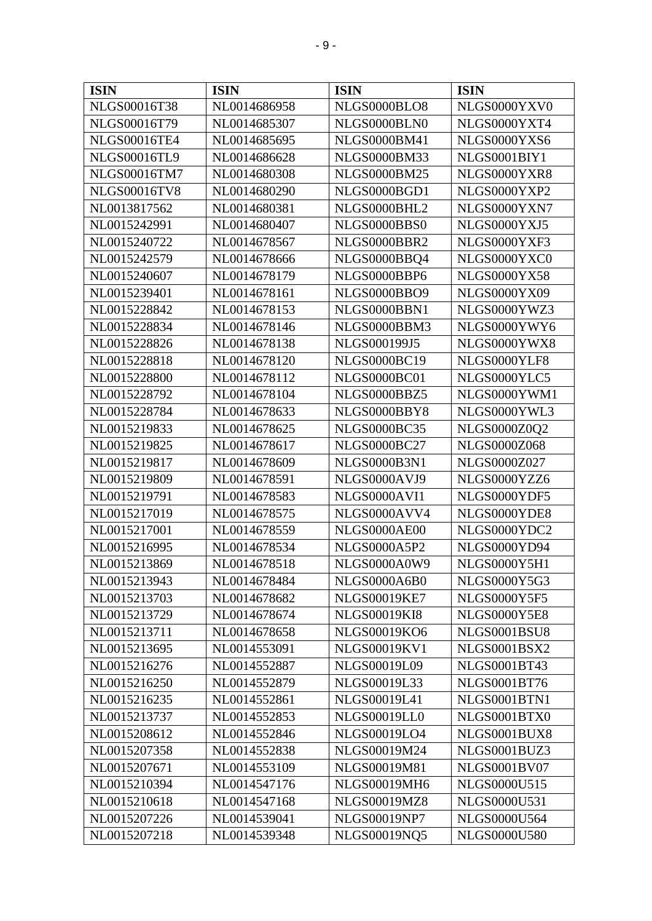| <b>ISIN</b>         | <b>ISIN</b>  | <b>ISIN</b>         | <b>ISIN</b>         |
|---------------------|--------------|---------------------|---------------------|
| NLGS00016T38        | NL0014686958 | NLGS0000BLO8        | NLGS0000YXV0        |
| NLGS00016T79        | NL0014685307 | NLGS0000BLN0        | NLGS0000YXT4        |
| <b>NLGS00016TE4</b> | NL0014685695 | <b>NLGS0000BM41</b> | NLGS0000YXS6        |
| NLGS00016TL9        | NL0014686628 | <b>NLGS0000BM33</b> | NLGS0001BIY1        |
| NLGS00016TM7        | NL0014680308 | <b>NLGS0000BM25</b> | NLGS0000YXR8        |
| <b>NLGS00016TV8</b> | NL0014680290 | NLGS0000BGD1        | NLGS0000YXP2        |
| NL0013817562        | NL0014680381 | NLGS0000BHL2        | NLGS0000YXN7        |
| NL0015242991        | NL0014680407 | NLGS0000BBS0        | NLGS0000YXJ5        |
| NL0015240722        | NL0014678567 | NLGS0000BBR2        | NLGS0000YXF3        |
| NL0015242579        | NL0014678666 | NLGS0000BBQ4        | NLGS0000YXC0        |
| NL0015240607        | NL0014678179 | NLGS0000BBP6        | NLGS0000YX58        |
| NL0015239401        | NL0014678161 | NLGS0000BBO9        | NLGS0000YX09        |
| NL0015228842        | NL0014678153 | NLGS0000BBN1        | NLGS0000YWZ3        |
| NL0015228834        | NL0014678146 | NLGS0000BBM3        | NLGS0000YWY6        |
| NL0015228826        | NL0014678138 | NLGS000199J5        | NLGS0000YWX8        |
| NL0015228818        | NL0014678120 | <b>NLGS0000BC19</b> | NLGS0000YLF8        |
| NL0015228800        | NL0014678112 | <b>NLGS0000BC01</b> | NLGS0000YLC5        |
| NL0015228792        | NL0014678104 | NLGS0000BBZ5        | NLGS0000YWM1        |
| NL0015228784        | NL0014678633 | NLGS0000BBY8        | NLGS0000YWL3        |
| NL0015219833        | NL0014678625 | <b>NLGS0000BC35</b> | NLGS0000Z0Q2        |
| NL0015219825        | NL0014678617 | <b>NLGS0000BC27</b> | NLGS0000Z068        |
| NL0015219817        | NL0014678609 | <b>NLGS0000B3N1</b> | NLGS0000Z027        |
| NL0015219809        | NL0014678591 | NLGS0000AVJ9        | NLGS0000YZZ6        |
| NL0015219791        | NL0014678583 | NLGS0000AVI1        | NLGS0000YDF5        |
| NL0015217019        | NL0014678575 | NLGS0000AVV4        | NLGS0000YDE8        |
| NL0015217001        | NL0014678559 | NLGS0000AE00        | NLGS0000YDC2        |
| NL0015216995        | NL0014678534 | <b>NLGS0000A5P2</b> | NLGS0000YD94        |
| NL0015213869        | NL0014678518 | NLGS0000A0W9        | NLGS0000Y5H1        |
| NL0015213943        | NL0014678484 | NLGS0000A6B0        | <b>NLGS0000Y5G3</b> |
| NL0015213703        | NL0014678682 | <b>NLGS00019KE7</b> | <b>NLGS0000Y5F5</b> |
| NL0015213729        | NL0014678674 | <b>NLGS00019KI8</b> | NLGS0000Y5E8        |
| NL0015213711        | NL0014678658 | <b>NLGS00019KO6</b> | NLGS0001BSU8        |
| NL0015213695        | NL0014553091 | <b>NLGS00019KV1</b> | NLGS0001BSX2        |
| NL0015216276        | NL0014552887 | <b>NLGS00019L09</b> | <b>NLGS0001BT43</b> |
| NL0015216250        | NL0014552879 | <b>NLGS00019L33</b> | <b>NLGS0001BT76</b> |
| NL0015216235        | NL0014552861 | <b>NLGS00019L41</b> | NLGS0001BTN1        |
| NL0015213737        | NL0014552853 | <b>NLGS00019LL0</b> | NLGS0001BTX0        |
| NL0015208612        | NL0014552846 | <b>NLGS00019LO4</b> | NLGS0001BUX8        |
| NL0015207358        | NL0014552838 | NLGS00019M24        | NLGS0001BUZ3        |
| NL0015207671        | NL0014553109 | NLGS00019M81        | <b>NLGS0001BV07</b> |
| NL0015210394        | NL0014547176 | <b>NLGS00019MH6</b> | <b>NLGS0000U515</b> |
| NL0015210618        | NL0014547168 | <b>NLGS00019MZ8</b> | <b>NLGS0000U531</b> |
| NL0015207226        | NL0014539041 | NLGS00019NP7        | <b>NLGS0000U564</b> |
| NL0015207218        | NL0014539348 | <b>NLGS00019NQ5</b> | NLGS0000U580        |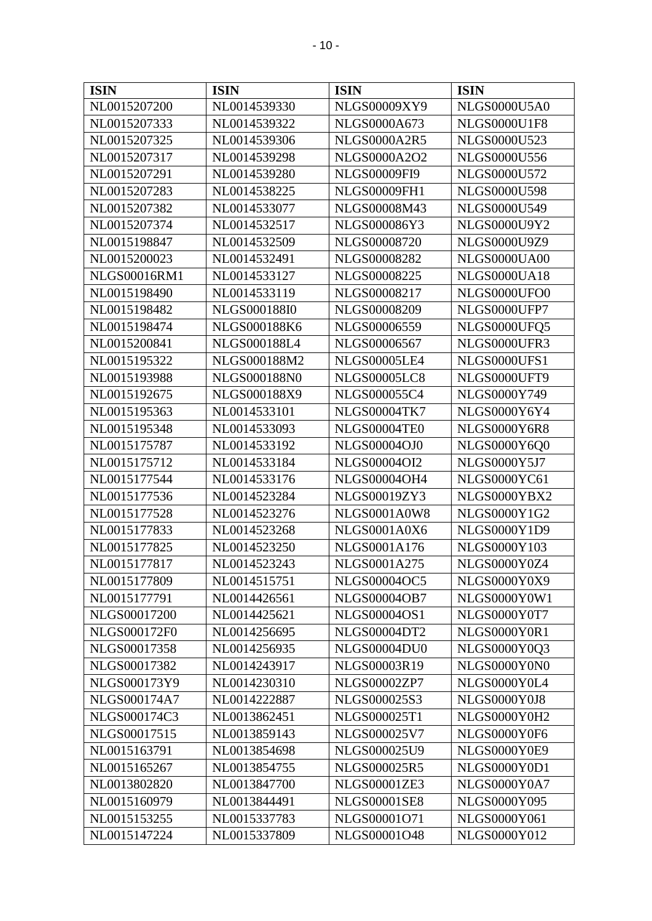| <b>ISIN</b>         | <b>ISIN</b>         | <b>ISIN</b>         | <b>ISIN</b>         |
|---------------------|---------------------|---------------------|---------------------|
| NL0015207200        | NL0014539330        | NLGS00009XY9        | <b>NLGS0000U5A0</b> |
| NL0015207333        | NL0014539322        | <b>NLGS0000A673</b> | <b>NLGS0000U1F8</b> |
| NL0015207325        | NL0014539306        | <b>NLGS0000A2R5</b> | <b>NLGS0000U523</b> |
| NL0015207317        | NL0014539298        | <b>NLGS0000A2O2</b> | <b>NLGS0000U556</b> |
| NL0015207291        | NL0014539280        | <b>NLGS00009FI9</b> | <b>NLGS0000U572</b> |
| NL0015207283        | NL0014538225        | <b>NLGS00009FH1</b> | <b>NLGS0000U598</b> |
| NL0015207382        | NL0014533077        | NLGS00008M43        | <b>NLGS0000U549</b> |
| NL0015207374        | NL0014532517        | NLGS000086Y3        | <b>NLGS0000U9Y2</b> |
| NL0015198847        | NL0014532509        | NLGS00008720        | NLGS0000U9Z9        |
| NL0015200023        | NL0014532491        | NLGS00008282        | NLGS0000UA00        |
| <b>NLGS00016RM1</b> | NL0014533127        | NLGS00008225        | <b>NLGS0000UA18</b> |
| NL0015198490        | NL0014533119        | NLGS00008217        | NLGS0000UFO0        |
| NL0015198482        | <b>NLGS000188I0</b> | NLGS00008209        | NLGS0000UFP7        |
| NL0015198474        | NLGS000188K6        | NLGS00006559        | NLGS0000UFQ5        |
| NL0015200841        | NLGS000188L4        | NLGS00006567        | NLGS0000UFR3        |
| NL0015195322        | NLGS000188M2        | <b>NLGS00005LE4</b> | NLGS0000UFS1        |
| NL0015193988        | <b>NLGS000188N0</b> | <b>NLGS00005LC8</b> | NLGS0000UFT9        |
| NL0015192675        | NLGS000188X9        | NLGS000055C4        | NLGS0000Y749        |
| NL0015195363        | NL0014533101        | <b>NLGS00004TK7</b> | NLGS0000Y6Y4        |
| NL0015195348        | NL0014533093        | NLGS00004TE0        | NLGS0000Y6R8        |
| NL0015175787        | NL0014533192        | NLGS00004OJ0        | NLGS0000Y6Q0        |
| NL0015175712        | NL0014533184        | <b>NLGS00004OI2</b> | NLGS0000Y5J7        |
| NL0015177544        | NL0014533176        | <b>NLGS00004OH4</b> | NLGS0000YC61        |
| NL0015177536        | NL0014523284        | NLGS00019ZY3        | NLGS0000YBX2        |
| NL0015177528        | NL0014523276        | <b>NLGS0001A0W8</b> | NLGS0000Y1G2        |
| NL0015177833        | NL0014523268        | <b>NLGS0001A0X6</b> | <b>NLGS0000Y1D9</b> |
| NL0015177825        | NL0014523250        | NLGS0001A176        | NLGS0000Y103        |
| NL0015177817        | NL0014523243        | <b>NLGS0001A275</b> | NLGS0000Y0Z4        |
| NL0015177809        | NL0014515751        | <b>NLGS00004OC5</b> | NLGS0000Y0X9        |
| NL0015177791        | NL0014426561        | <b>NLGS00004OB7</b> | NLGS0000Y0W1        |
| NLGS00017200        | NL0014425621        | <b>NLGS00004OS1</b> | NLGS0000Y0T7        |
| <b>NLGS000172F0</b> | NL0014256695        | <b>NLGS00004DT2</b> | NLGS0000Y0R1        |
| NLGS00017358        | NL0014256935        | NLGS00004DU0        | NLGS0000Y0Q3        |
| NLGS00017382        | NL0014243917        | NLGS00003R19        | NLGS0000Y0N0        |
| NLGS000173Y9        | NL0014230310        | <b>NLGS00002ZP7</b> | NLGS0000Y0L4        |
| NLGS000174A7        | NL0014222887        | NLGS000025S3        | NLGS0000Y0J8        |
| NLGS000174C3        | NL0013862451        | NLGS000025T1        | NLGS0000Y0H2        |
| NLGS00017515        | NL0013859143        | NLGS000025V7        | NLGS0000Y0F6        |
| NL0015163791        | NL0013854698        | NLGS000025U9        | NLGS0000Y0E9        |
| NL0015165267        | NL0013854755        | NLGS000025R5        | NLGS0000Y0D1        |
| NL0013802820        | NL0013847700        | <b>NLGS00001ZE3</b> | NLGS0000Y0A7        |
| NL0015160979        | NL0013844491        | <b>NLGS00001SE8</b> | <b>NLGS0000Y095</b> |
| NL0015153255        | NL0015337783        | NLGS00001O71        | NLGS0000Y061        |
| NL0015147224        | NL0015337809        | NLGS00001O48        | NLGS0000Y012        |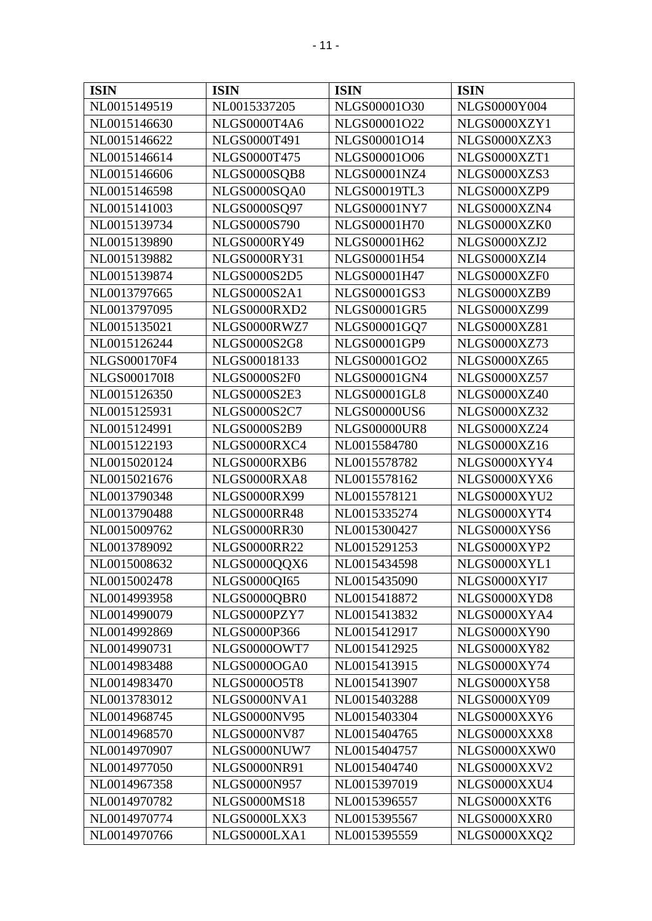| <b>ISIN</b>         | <b>ISIN</b>         | <b>ISIN</b>         | <b>ISIN</b>         |
|---------------------|---------------------|---------------------|---------------------|
| NL0015149519        | NL0015337205        | NLGS00001O30        | NLGS0000Y004        |
| NL0015146630        | NLGS0000T4A6        | NLGS00001O22        | NLGS0000XZY1        |
| NL0015146622        | NLGS0000T491        | NLGS00001O14        | NLGS0000XZX3        |
| NL0015146614        | NLGS0000T475        | NLGS00001O06        | NLGS0000XZT1        |
| NL0015146606        | NLGS0000SQB8        | <b>NLGS00001NZ4</b> | NLGS0000XZS3        |
| NL0015146598        | NLGS0000SQA0        | <b>NLGS00019TL3</b> | NLGS0000XZP9        |
| NL0015141003        | NLGS0000SQ97        | <b>NLGS00001NY7</b> | NLGS0000XZN4        |
| NL0015139734        | <b>NLGS0000S790</b> | NLGS00001H70        | NLGS0000XZK0        |
| NL0015139890        | <b>NLGS0000RY49</b> | NLGS00001H62        | NLGS0000XZJ2        |
| NL0015139882        | NLGS0000RY31        | NLGS00001H54        | NLGS0000XZI4        |
| NL0015139874        | <b>NLGS0000S2D5</b> | NLGS00001H47        | NLGS0000XZF0        |
| NL0013797665        | NLGS0000S2A1        | NLGS00001GS3        | NLGS0000XZB9        |
| NL0013797095        | NLGS0000RXD2        | <b>NLGS00001GR5</b> | NLGS0000XZ99        |
| NL0015135021        | NLGS0000RWZ7        | NLGS00001GQ7        | <b>NLGS0000XZ81</b> |
| NL0015126244        | <b>NLGS0000S2G8</b> | <b>NLGS00001GP9</b> | NLGS0000XZ73        |
| <b>NLGS000170F4</b> | NLGS00018133        | NLGS00001GO2        | NLGS0000XZ65        |
| NLGS000170I8        | <b>NLGS0000S2F0</b> | NLGS00001GN4        | NLGS0000XZ57        |
| NL0015126350        | <b>NLGS0000S2E3</b> | <b>NLGS00001GL8</b> | NLGS0000XZ40        |
| NL0015125931        | NLGS0000S2C7        | <b>NLGS00000US6</b> | NLGS0000XZ32        |
| NL0015124991        | <b>NLGS0000S2B9</b> | <b>NLGS00000UR8</b> | NLGS0000XZ24        |
| NL0015122193        | NLGS0000RXC4        | NL0015584780        | NLGS0000XZ16        |
| NL0015020124        | NLGS0000RXB6        | NL0015578782        | NLGS0000XYY4        |
| NL0015021676        | NLGS0000RXA8        | NL0015578162        | NLGS0000XYX6        |
| NL0013790348        | <b>NLGS0000RX99</b> | NL0015578121        | NLGS0000XYU2        |
| NL0013790488        | <b>NLGS0000RR48</b> | NL0015335274        | NLGS0000XYT4        |
| NL0015009762        | <b>NLGS0000RR30</b> | NL0015300427        | NLGS0000XYS6        |
| NL0013789092        | <b>NLGS0000RR22</b> | NL0015291253        | NLGS0000XYP2        |
| NL0015008632        | NLGS0000QQX6        | NL0015434598        | NLGS0000XYL1        |
| NL0015002478        | <b>NLGS0000QI65</b> | NL0015435090        | NLGS0000XYI7        |
| NL0014993958        | NLGS0000QBR0        | NL0015418872        | NLGS0000XYD8        |
| NL0014990079        | NLGS0000PZY7        | NL0015413832        | NLGS0000XYA4        |
| NL0014992869        | <b>NLGS0000P366</b> | NL0015412917        | NLGS0000XY90        |
| NL0014990731        | NLGS0000OWT7        | NL0015412925        | <b>NLGS0000XY82</b> |
| NL0014983488        | NLGS0000OGA0        | NL0015413915        | NLGS0000XY74        |
| NL0014983470        | <b>NLGS0000O5T8</b> | NL0015413907        | <b>NLGS0000XY58</b> |
| NL0013783012        | NLGS0000NVA1        | NL0015403288        | NLGS0000XY09        |
| NL0014968745        | <b>NLGS0000NV95</b> | NL0015403304        | NLGS0000XXY6        |
| NL0014968570        | <b>NLGS0000NV87</b> | NL0015404765        | NLGS0000XXX8        |
| NL0014970907        | NLGS0000NUW7        | NL0015404757        | NLGS0000XXW0        |
| NL0014977050        | <b>NLGS0000NR91</b> | NL0015404740        | NLGS0000XXV2        |
| NL0014967358        | <b>NLGS0000N957</b> | NL0015397019        | NLGS0000XXU4        |
| NL0014970782        | <b>NLGS0000MS18</b> | NL0015396557        | NLGS0000XXT6        |
| NL0014970774        | NLGS0000LXX3        | NL0015395567        | NLGS0000XXR0        |
| NL0014970766        | NLGS0000LXA1        | NL0015395559        | NLGS0000XXQ2        |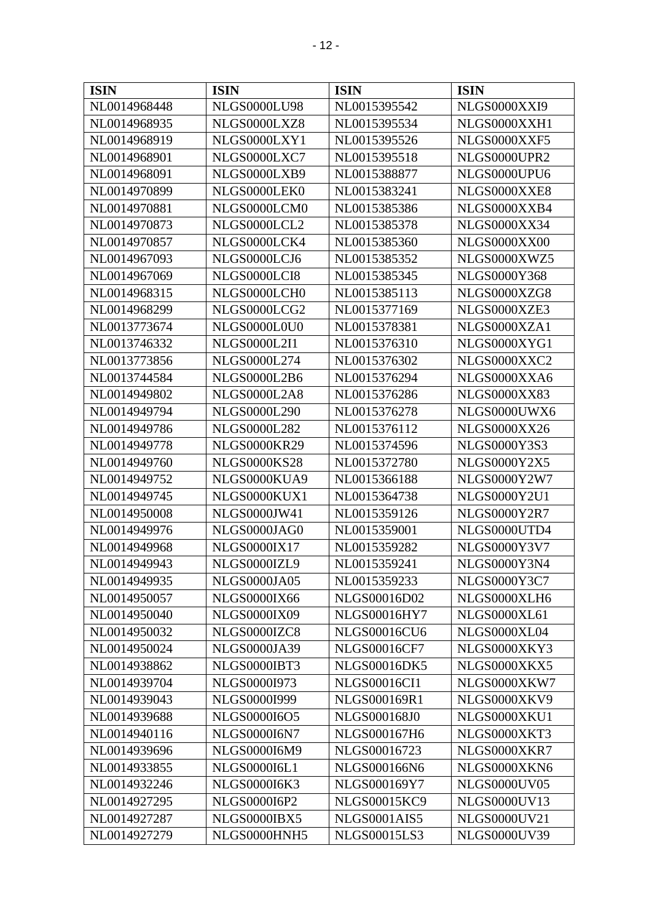| <b>ISIN</b>  | <b>ISIN</b>         | <b>ISIN</b>         | <b>ISIN</b>         |
|--------------|---------------------|---------------------|---------------------|
| NL0014968448 | <b>NLGS0000LU98</b> | NL0015395542        | NLGS0000XXI9        |
| NL0014968935 | NLGS0000LXZ8        | NL0015395534        | NLGS0000XXH1        |
| NL0014968919 | NLGS0000LXY1        | NL0015395526        | NLGS0000XXF5        |
| NL0014968901 | NLGS0000LXC7        | NL0015395518        | NLGS0000UPR2        |
| NL0014968091 | NLGS0000LXB9        | NL0015388877        | NLGS0000UPU6        |
| NL0014970899 | NLGS0000LEK0        | NL0015383241        | NLGS0000XXE8        |
| NL0014970881 | NLGS0000LCM0        | NL0015385386        | NLGS0000XXB4        |
| NL0014970873 | NLGS0000LCL2        | NL0015385378        | NLGS0000XX34        |
| NL0014970857 | NLGS0000LCK4        | NL0015385360        | NLGS0000XX00        |
| NL0014967093 | NLGS0000LCJ6        | NL0015385352        | NLGS0000XWZ5        |
| NL0014967069 | NLGS0000LCI8        | NL0015385345        | <b>NLGS0000Y368</b> |
| NL0014968315 | NLGS0000LCH0        | NL0015385113        | NLGS0000XZG8        |
| NL0014968299 | NLGS0000LCG2        | NL0015377169        | NLGS0000XZE3        |
| NL0013773674 | NLGS0000L0U0        | NL0015378381        | NLGS0000XZA1        |
| NL0013746332 | <b>NLGS0000L2I1</b> | NL0015376310        | NLGS0000XYG1        |
| NL0013773856 | <b>NLGS0000L274</b> | NL0015376302        | NLGS0000XXC2        |
| NL0013744584 | <b>NLGS0000L2B6</b> | NL0015376294        | NLGS0000XXA6        |
| NL0014949802 | <b>NLGS0000L2A8</b> | NL0015376286        | NLGS0000XX83        |
| NL0014949794 | NLGS0000L290        | NL0015376278        | NLGS0000UWX6        |
| NL0014949786 | <b>NLGS0000L282</b> | NL0015376112        | NLGS0000XX26        |
| NL0014949778 | <b>NLGS0000KR29</b> | NL0015374596        | <b>NLGS0000Y3S3</b> |
| NL0014949760 | <b>NLGS0000KS28</b> | NL0015372780        | <b>NLGS0000Y2X5</b> |
| NL0014949752 | NLGS0000KUA9        | NL0015366188        | <b>NLGS0000Y2W7</b> |
| NL0014949745 | NLGS0000KUX1        | NL0015364738        | <b>NLGS0000Y2U1</b> |
| NL0014950008 | <b>NLGS0000JW41</b> | NL0015359126        | <b>NLGS0000Y2R7</b> |
| NL0014949976 | NLGS0000JAG0        | NL0015359001        | NLGS0000UTD4        |
| NL0014949968 | <b>NLGS0000IX17</b> | NL0015359282        | <b>NLGS0000Y3V7</b> |
| NL0014949943 | NLGS0000IZL9        | NL0015359241        | NLGS0000Y3N4        |
| NL0014949935 | <b>NLGS0000JA05</b> | NL0015359233        | <b>NLGS0000Y3C7</b> |
| NL0014950057 | <b>NLGS0000IX66</b> | NLGS00016D02        | NLGS0000XLH6        |
| NL0014950040 | <b>NLGS0000IX09</b> | <b>NLGS00016HY7</b> | <b>NLGS0000XL61</b> |
| NL0014950032 | NLGS0000IZC8        | <b>NLGS00016CU6</b> | NLGS0000XL04        |
| NL0014950024 | <b>NLGS0000JA39</b> | <b>NLGS00016CF7</b> | NLGS0000XKY3        |
| NL0014938862 | NLGS0000IBT3        | <b>NLGS00016DK5</b> | NLGS0000XKX5        |
| NL0014939704 | <b>NLGS0000I973</b> | <b>NLGS00016CI1</b> | NLGS0000XKW7        |
| NL0014939043 | NLGS0000I999        | NLGS000169R1        | NLGS0000XKV9        |
| NL0014939688 | <b>NLGS0000I6O5</b> | NLGS000168J0        | NLGS0000XKU1        |
| NL0014940116 | <b>NLGS0000I6N7</b> | NLGS000167H6        | NLGS0000XKT3        |
| NL0014939696 | <b>NLGS0000I6M9</b> | NLGS00016723        | NLGS0000XKR7        |
| NL0014933855 | <b>NLGS0000I6L1</b> | NLGS000166N6        | NLGS0000XKN6        |
| NL0014932246 | <b>NLGS0000I6K3</b> | NLGS000169Y7        | <b>NLGS0000UV05</b> |
| NL0014927295 | <b>NLGS0000I6P2</b> | <b>NLGS00015KC9</b> | <b>NLGS0000UV13</b> |
| NL0014927287 | NLGS0000IBX5        | NLGS0001AIS5        | <b>NLGS0000UV21</b> |
| NL0014927279 | NLGS0000HNH5        | <b>NLGS00015LS3</b> | <b>NLGS0000UV39</b> |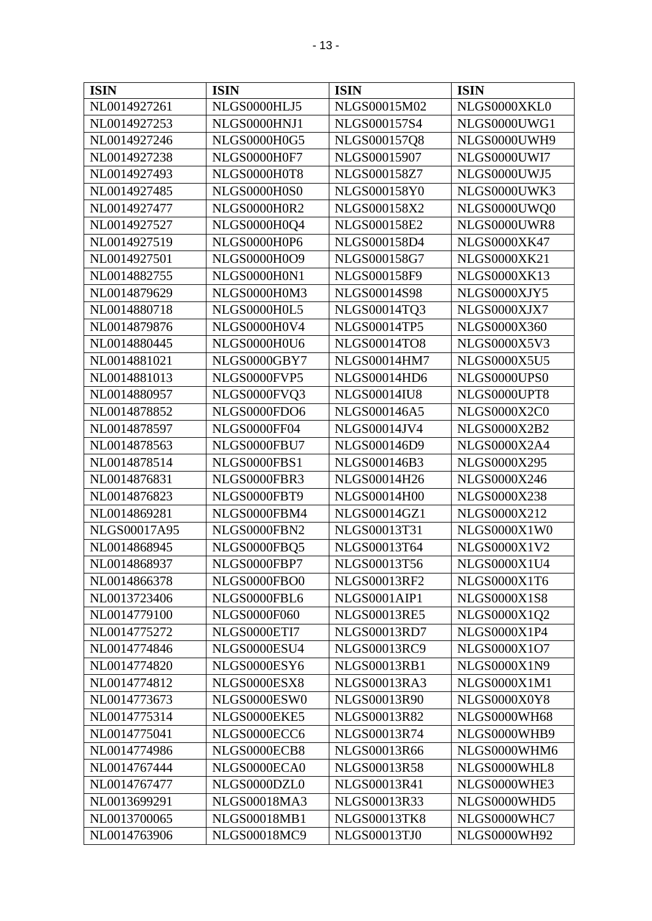| <b>ISIN</b>  | <b>ISIN</b>         | <b>ISIN</b>         | <b>ISIN</b>         |
|--------------|---------------------|---------------------|---------------------|
| NL0014927261 | NLGS0000HLJ5        | NLGS00015M02        | NLGS0000XKL0        |
| NL0014927253 | NLGS0000HNJ1        | NLGS000157S4        | NLGS0000UWG1        |
| NL0014927246 | NLGS0000H0G5        | NLGS000157Q8        | NLGS0000UWH9        |
| NL0014927238 | NLGS0000H0F7        | NLGS00015907        | NLGS0000UWI7        |
| NL0014927493 | NLGS0000H0T8        | NLGS000158Z7        | NLGS0000UWJ5        |
| NL0014927485 | NLGS0000H0S0        | NLGS000158Y0        | NLGS0000UWK3        |
| NL0014927477 | NLGS0000H0R2        | NLGS000158X2        | NLGS0000UWQ0        |
| NL0014927527 | NLGS0000H0Q4        | NLGS000158E2        | NLGS0000UWR8        |
| NL0014927519 | NLGS0000H0P6        | NLGS000158D4        | NLGS0000XK47        |
| NL0014927501 | NLGS0000H0O9        | NLGS000158G7        | <b>NLGS0000XK21</b> |
| NL0014882755 | NLGS0000H0N1        | NLGS000158F9        | NLGS0000XK13        |
| NL0014879629 | NLGS0000H0M3        | NLGS00014S98        | NLGS0000XJY5        |
| NL0014880718 | NLGS0000H0L5        | <b>NLGS00014TQ3</b> | NLGS0000XJX7        |
| NL0014879876 | NLGS0000H0V4        | <b>NLGS00014TP5</b> | NLGS0000X360        |
| NL0014880445 | NLGS0000H0U6        | <b>NLGS00014TO8</b> | <b>NLGS0000X5V3</b> |
| NL0014881021 | NLGS0000GBY7        | <b>NLGS00014HM7</b> | <b>NLGS0000X5U5</b> |
| NL0014881013 | NLGS0000FVP5        | <b>NLGS00014HD6</b> | NLGS0000UPS0        |
| NL0014880957 | NLGS0000FVQ3        | <b>NLGS00014IU8</b> | NLGS0000UPT8        |
| NL0014878852 | NLGS0000FDO6        | NLGS000146A5        | NLGS0000X2C0        |
| NL0014878597 | NLGS0000FF04        | <b>NLGS00014JV4</b> | <b>NLGS0000X2B2</b> |
| NL0014878563 | NLGS0000FBU7        | NLGS000146D9        | NLGS0000X2A4        |
| NL0014878514 | NLGS0000FBS1        | NLGS000146B3        | NLGS0000X295        |
| NL0014876831 | NLGS0000FBR3        | NLGS00014H26        | NLGS0000X246        |
| NL0014876823 | NLGS0000FBT9        | NLGS00014H00        | <b>NLGS0000X238</b> |
| NL0014869281 | NLGS0000FBM4        | <b>NLGS00014GZ1</b> | NLGS0000X212        |
| NLGS00017A95 | NLGS0000FBN2        | NLGS00013T31        | NLGS0000X1W0        |
| NL0014868945 | NLGS0000FBQ5        | NLGS00013T64        | NLGS0000X1V2        |
| NL0014868937 | NLGS0000FBP7        | NLGS00013T56        | NLGS0000X1U4        |
| NL0014866378 | NLGS0000FBO0        | <b>NLGS00013RF2</b> | NLGS0000X1T6        |
| NL0013723406 | NLGS0000FBL6        | NLGS0001AIP1        | <b>NLGS0000X1S8</b> |
| NL0014779100 | <b>NLGS0000F060</b> | <b>NLGS00013RE5</b> | NLGS0000X1Q2        |
| NL0014775272 | NLGS0000ETI7        | <b>NLGS00013RD7</b> | NLGS0000X1P4        |
| NL0014774846 | NLGS0000ESU4        | NLGS00013RC9        | NLGS0000X1O7        |
| NL0014774820 | NLGS0000ESY6        | <b>NLGS00013RB1</b> | <b>NLGS0000X1N9</b> |
| NL0014774812 | NLGS0000ESX8        | <b>NLGS00013RA3</b> | NLGS0000X1M1        |
| NL0014773673 | NLGS0000ESW0        | NLGS00013R90        | NLGS0000X0Y8        |
| NL0014775314 | NLGS0000EKE5        | <b>NLGS00013R82</b> | NLGS0000WH68        |
| NL0014775041 | NLGS0000ECC6        | <b>NLGS00013R74</b> | NLGS0000WHB9        |
| NL0014774986 | NLGS0000ECB8        | NLGS00013R66        | NLGS0000WHM6        |
| NL0014767444 | NLGS0000ECA0        | NLGS00013R58        | NLGS0000WHL8        |
| NL0014767477 | NLGS0000DZL0        | NLGS00013R41        | NLGS0000WHE3        |
| NL0013699291 | <b>NLGS00018MA3</b> | <b>NLGS00013R33</b> | NLGS0000WHD5        |
| NL0013700065 | <b>NLGS00018MB1</b> | <b>NLGS00013TK8</b> | NLGS0000WHC7        |
| NL0014763906 | <b>NLGS00018MC9</b> | <b>NLGS00013TJ0</b> | <b>NLGS0000WH92</b> |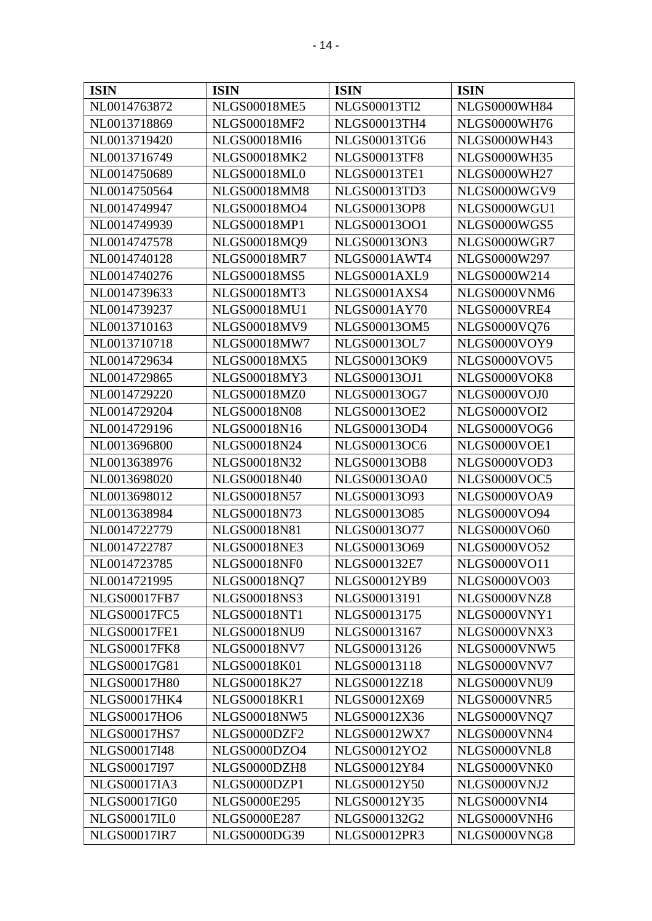| <b>ISIN</b>         | <b>ISIN</b>         | <b>ISIN</b>         | <b>ISIN</b>         |
|---------------------|---------------------|---------------------|---------------------|
| NL0014763872        | <b>NLGS00018ME5</b> | <b>NLGS00013TI2</b> | NLGS0000WH84        |
| NL0013718869        | <b>NLGS00018MF2</b> | <b>NLGS00013TH4</b> | <b>NLGS0000WH76</b> |
| NL0013719420        | <b>NLGS00018MI6</b> | <b>NLGS00013TG6</b> | NLGS0000WH43        |
| NL0013716749        | <b>NLGS00018MK2</b> | <b>NLGS00013TF8</b> | <b>NLGS0000WH35</b> |
| NL0014750689        | NLGS00018ML0        | <b>NLGS00013TE1</b> | <b>NLGS0000WH27</b> |
| NL0014750564        | <b>NLGS00018MM8</b> | <b>NLGS00013TD3</b> | NLGS0000WGV9        |
| NL0014749947        | NLGS00018MO4        | <b>NLGS00013OP8</b> | NLGS0000WGU1        |
| NL0014749939        | <b>NLGS00018MP1</b> | NLGS00013OO1        | NLGS0000WGS5        |
| NL0014747578        | NLGS00018MQ9        | <b>NLGS00013ON3</b> | NLGS0000WGR7        |
| NL0014740128        | <b>NLGS00018MR7</b> | NLGS0001AWT4        | NLGS0000W297        |
| NL0014740276        | <b>NLGS00018MS5</b> | NLGS0001AXL9        | NLGS0000W214        |
| NL0014739633        | <b>NLGS00018MT3</b> | NLGS0001AXS4        | NLGS0000VNM6        |
| NL0014739237        | <b>NLGS00018MU1</b> | <b>NLGS0001AY70</b> | NLGS0000VRE4        |
| NL0013710163        | <b>NLGS00018MV9</b> | NLGS00013OM5        | <b>NLGS0000VQ76</b> |
| NL0013710718        | <b>NLGS00018MW7</b> | <b>NLGS00013OL7</b> | NLGS0000VOY9        |
| NL0014729634        | <b>NLGS00018MX5</b> | NLGS00013OK9        | NLGS0000VOV5        |
| NL0014729865        | NLGS00018MY3        | NLGS00013OJ1        | NLGS0000VOK8        |
| NL0014729220        | <b>NLGS00018MZ0</b> | NLGS00013OG7        | NLGS0000VOJ0        |
| NL0014729204        | <b>NLGS00018N08</b> | <b>NLGS00013OE2</b> | NLGS0000VOI2        |
| NL0014729196        | <b>NLGS00018N16</b> | NLGS00013OD4        | NLGS0000VOG6        |
| NL0013696800        | NLGS00018N24        | NLGS00013OC6        | NLGS0000VOE1        |
| NL0013638976        | NLGS00018N32        | <b>NLGS00013OB8</b> | NLGS0000VOD3        |
| NL0013698020        | NLGS00018N40        | <b>NLGS00013OA0</b> | NLGS0000VOC5        |
| NL0013698012        | NLGS00018N57        | NLGS00013O93        | NLGS0000VOA9        |
| NL0013638984        | <b>NLGS00018N73</b> | NLGS00013O85        | <b>NLGS0000VO94</b> |
| NL0014722779        | NLGS00018N81        | NLGS00013O77        | NLGS0000VO60        |
| NL0014722787        | <b>NLGS00018NE3</b> | NLGS00013O69        | <b>NLGS0000VO52</b> |
| NL0014723785        | <b>NLGS00018NF0</b> | <b>NLGS000132E7</b> | <b>NLGS0000VO11</b> |
| NL0014721995        | NLGS00018NQ7        | NLGS00012YB9        | <b>NLGS0000VO03</b> |
| <b>NLGS00017FB7</b> | <b>NLGS00018NS3</b> | NLGS00013191        | NLGS0000VNZ8        |
| <b>NLGS00017FC5</b> | <b>NLGS00018NT1</b> | NLGS00013175        | NLGS0000VNY1        |
| <b>NLGS00017FE1</b> | <b>NLGS00018NU9</b> | NLGS00013167        | NLGS0000VNX3        |
| <b>NLGS00017FK8</b> | NLGS00018NV7        | NLGS00013126        | NLGS0000VNW5        |
| NLGS00017G81        | NLGS00018K01        | NLGS00013118        | NLGS0000VNV7        |
| NLGS00017H80        | NLGS00018K27        | <b>NLGS00012Z18</b> | NLGS0000VNU9        |
| <b>NLGS00017HK4</b> | <b>NLGS00018KR1</b> | NLGS00012X69        | NLGS0000VNR5        |
| <b>NLGS00017HO6</b> | <b>NLGS00018NW5</b> | NLGS00012X36        | NLGS0000VNQ7        |
| <b>NLGS00017HS7</b> | NLGS0000DZF2        | <b>NLGS00012WX7</b> | NLGS0000VNN4        |
| NLGS00017I48        | NLGS0000DZO4        | NLGS00012YO2        | NLGS0000VNL8        |
| NLGS00017I97        | NLGS0000DZH8        | NLGS00012Y84        | NLGS0000VNK0        |
| <b>NLGS00017IA3</b> | NLGS0000DZP1        | NLGS00012Y50        | NLGS0000VNJ2        |
| <b>NLGS00017IG0</b> | <b>NLGS0000E295</b> | NLGS00012Y35        | NLGS0000VNI4        |
| <b>NLGS00017IL0</b> | <b>NLGS0000E287</b> | NLGS000132G2        | NLGS0000VNH6        |
| <b>NLGS00017IR7</b> | NLGS0000DG39        | <b>NLGS00012PR3</b> | NLGS0000VNG8        |